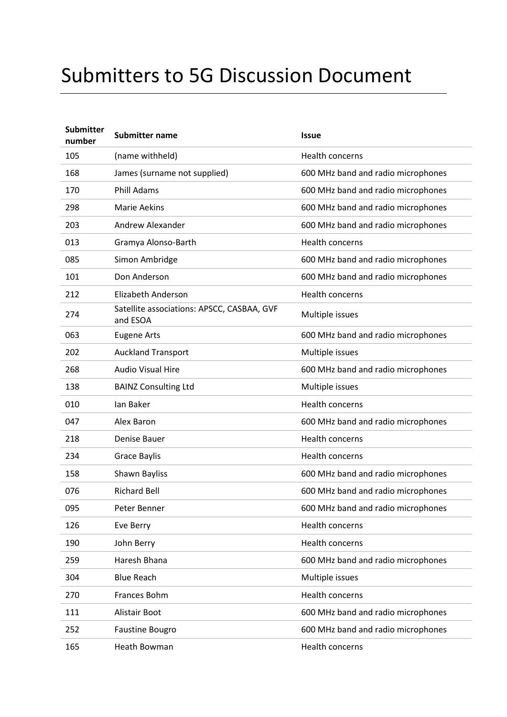## Submitters to 5G Discussion Document

| <b>Submitter</b><br>number | <b>Submitter name</b>                                  | <b>Issue</b>                       |
|----------------------------|--------------------------------------------------------|------------------------------------|
| 105                        | (name withheld)                                        | Health concerns                    |
| 168                        | James (surname not supplied)                           | 600 MHz band and radio microphones |
| 170                        | <b>Phill Adams</b>                                     | 600 MHz band and radio microphones |
| 298                        | <b>Marie Aekins</b>                                    | 600 MHz band and radio microphones |
| 203                        | Andrew Alexander                                       | 600 MHz band and radio microphones |
| 013                        | Gramya Alonso-Barth                                    | Health concerns                    |
| 085                        | Simon Ambridge                                         | 600 MHz band and radio microphones |
| 101                        | Don Anderson                                           | 600 MHz band and radio microphones |
| 212                        | <b>Elizabeth Anderson</b>                              | <b>Health concerns</b>             |
| 274                        | Satellite associations: APSCC, CASBAA, GVF<br>and ESOA | Multiple issues                    |
| 063                        | <b>Eugene Arts</b>                                     | 600 MHz band and radio microphones |
| 202                        | <b>Auckland Transport</b>                              | Multiple issues                    |
| 268                        | <b>Audio Visual Hire</b>                               | 600 MHz band and radio microphones |
| 138                        | <b>BAINZ Consulting Ltd</b>                            | Multiple issues                    |
| 010                        | lan Baker                                              | Health concerns                    |
| 047                        | Alex Baron                                             | 600 MHz band and radio microphones |
| 218                        | Denise Bauer                                           | <b>Health concerns</b>             |
| 234                        | Grace Baylis                                           | Health concerns                    |
| 158                        | Shawn Bayliss                                          | 600 MHz band and radio microphones |
| 076                        | <b>Richard Bell</b>                                    | 600 MHz band and radio microphones |
| 095                        | Peter Benner                                           | 600 MHz band and radio microphones |
| 126                        | Eve Berry                                              | Health concerns                    |
| 190                        | John Berry                                             | Health concerns                    |
| 259                        | Haresh Bhana                                           | 600 MHz band and radio microphones |
| 304                        | <b>Blue Reach</b>                                      | Multiple issues                    |
| 270                        | Frances Bohm                                           | Health concerns                    |
| 111                        | Alistair Boot                                          | 600 MHz band and radio microphones |
| 252                        | <b>Faustine Bougro</b>                                 | 600 MHz band and radio microphones |
| 165                        | Heath Bowman                                           | Health concerns                    |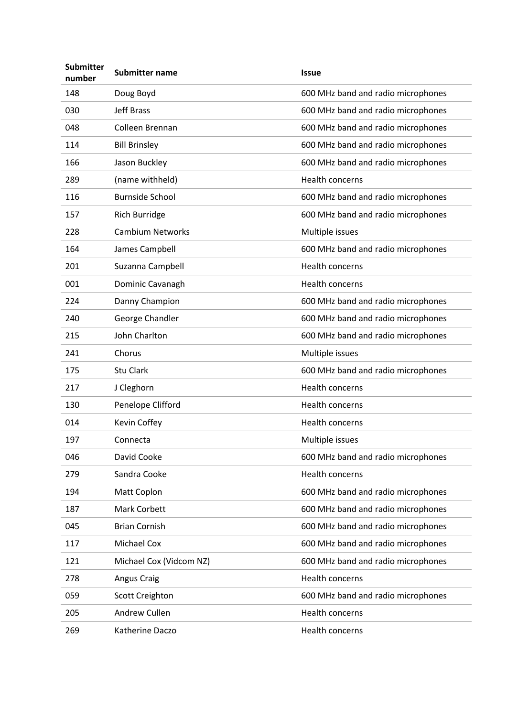| <b>Submitter</b><br>number | <b>Submitter name</b>   | <b>Issue</b>                       |
|----------------------------|-------------------------|------------------------------------|
| 148                        | Doug Boyd               | 600 MHz band and radio microphones |
| 030                        | <b>Jeff Brass</b>       | 600 MHz band and radio microphones |
| 048                        | Colleen Brennan         | 600 MHz band and radio microphones |
| 114                        | <b>Bill Brinsley</b>    | 600 MHz band and radio microphones |
| 166                        | Jason Buckley           | 600 MHz band and radio microphones |
| 289                        | (name withheld)         | <b>Health concerns</b>             |
| 116                        | <b>Burnside School</b>  | 600 MHz band and radio microphones |
| 157                        | Rich Burridge           | 600 MHz band and radio microphones |
| 228                        | <b>Cambium Networks</b> | Multiple issues                    |
| 164                        | James Campbell          | 600 MHz band and radio microphones |
| 201                        | Suzanna Campbell        | Health concerns                    |
| 001                        | Dominic Cavanagh        | Health concerns                    |
| 224                        | Danny Champion          | 600 MHz band and radio microphones |
| 240                        | George Chandler         | 600 MHz band and radio microphones |
| 215                        | John Charlton           | 600 MHz band and radio microphones |
| 241                        | Chorus                  | Multiple issues                    |
| 175                        | <b>Stu Clark</b>        | 600 MHz band and radio microphones |
| 217                        | J Cleghorn              | Health concerns                    |
| 130                        | Penelope Clifford       | <b>Health concerns</b>             |
| 014                        | Kevin Coffey            | Health concerns                    |
| 197                        | Connecta                | Multiple issues                    |
| 046                        | David Cooke             | 600 MHz band and radio microphones |
| 279                        | Sandra Cooke            | Health concerns                    |
| 194                        | Matt Coplon             | 600 MHz band and radio microphones |
| 187                        | <b>Mark Corbett</b>     | 600 MHz band and radio microphones |
| 045                        | <b>Brian Cornish</b>    | 600 MHz band and radio microphones |
| 117                        | <b>Michael Cox</b>      | 600 MHz band and radio microphones |
| 121                        | Michael Cox (Vidcom NZ) | 600 MHz band and radio microphones |
| 278                        | Angus Craig             | Health concerns                    |
| 059                        | <b>Scott Creighton</b>  | 600 MHz band and radio microphones |
| 205                        | Andrew Cullen           | Health concerns                    |
| 269                        | Katherine Daczo         | Health concerns                    |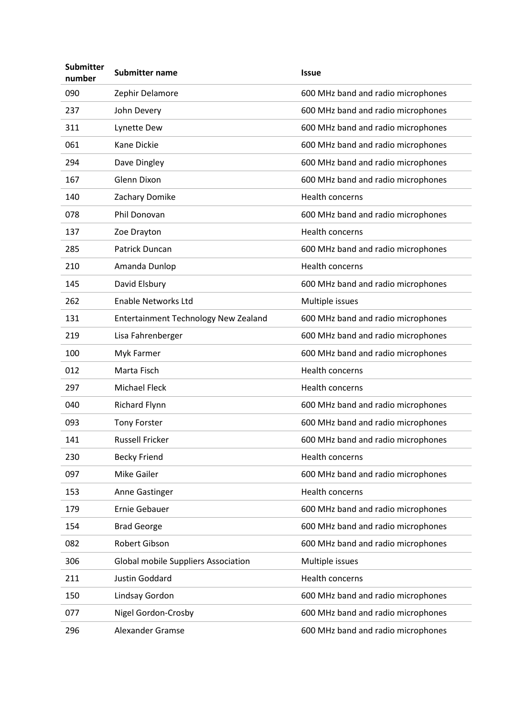| <b>Submitter</b><br>number | <b>Submitter name</b>                | <b>Issue</b>                       |
|----------------------------|--------------------------------------|------------------------------------|
| 090                        | Zephir Delamore                      | 600 MHz band and radio microphones |
| 237                        | John Devery                          | 600 MHz band and radio microphones |
| 311                        | Lynette Dew                          | 600 MHz band and radio microphones |
| 061                        | Kane Dickie                          | 600 MHz band and radio microphones |
| 294                        | Dave Dingley                         | 600 MHz band and radio microphones |
| 167                        | Glenn Dixon                          | 600 MHz band and radio microphones |
| 140                        | Zachary Domike                       | <b>Health concerns</b>             |
| 078                        | Phil Donovan                         | 600 MHz band and radio microphones |
| 137                        | Zoe Drayton                          | Health concerns                    |
| 285                        | Patrick Duncan                       | 600 MHz band and radio microphones |
| 210                        | Amanda Dunlop                        | Health concerns                    |
| 145                        | David Elsbury                        | 600 MHz band and radio microphones |
| 262                        | <b>Enable Networks Ltd</b>           | Multiple issues                    |
| 131                        | Entertainment Technology New Zealand | 600 MHz band and radio microphones |
| 219                        | Lisa Fahrenberger                    | 600 MHz band and radio microphones |
| 100                        | Myk Farmer                           | 600 MHz band and radio microphones |
| 012                        | Marta Fisch                          | Health concerns                    |
| 297                        | <b>Michael Fleck</b>                 | Health concerns                    |
| 040                        | <b>Richard Flynn</b>                 | 600 MHz band and radio microphones |
| 093                        | <b>Tony Forster</b>                  | 600 MHz band and radio microphones |
| 141                        | <b>Russell Fricker</b>               | 600 MHz band and radio microphones |
| 230                        | <b>Becky Friend</b>                  | Health concerns                    |
| 097                        | Mike Gailer                          | 600 MHz band and radio microphones |
| 153                        | Anne Gastinger                       | Health concerns                    |
| 179                        | Ernie Gebauer                        | 600 MHz band and radio microphones |
| 154                        | <b>Brad George</b>                   | 600 MHz band and radio microphones |
| 082                        | Robert Gibson                        | 600 MHz band and radio microphones |
| 306                        | Global mobile Suppliers Association  | Multiple issues                    |
| 211                        | Justin Goddard                       | Health concerns                    |
| 150                        | Lindsay Gordon                       | 600 MHz band and radio microphones |
| 077                        | Nigel Gordon-Crosby                  | 600 MHz band and radio microphones |
| 296                        | Alexander Gramse                     | 600 MHz band and radio microphones |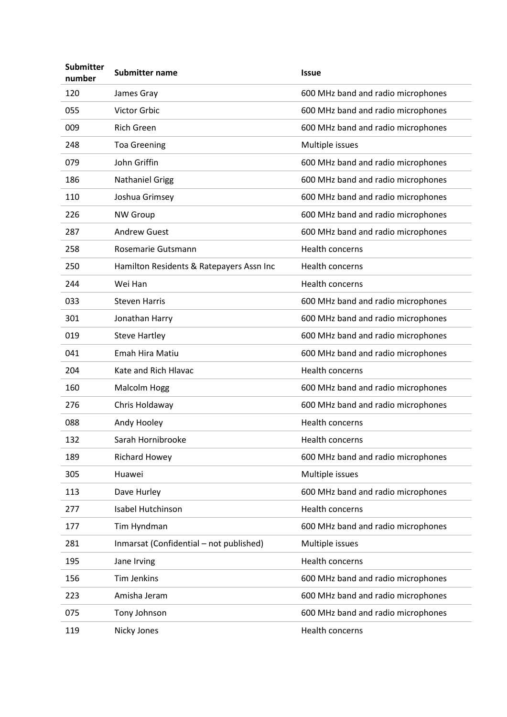| <b>Submitter</b><br>number | <b>Submitter name</b>                    | <b>Issue</b>                       |
|----------------------------|------------------------------------------|------------------------------------|
| 120                        | James Gray                               | 600 MHz band and radio microphones |
| 055                        | Victor Grbic                             | 600 MHz band and radio microphones |
| 009                        | <b>Rich Green</b>                        | 600 MHz band and radio microphones |
| 248                        | <b>Toa Greening</b>                      | Multiple issues                    |
| 079                        | John Griffin                             | 600 MHz band and radio microphones |
| 186                        | <b>Nathaniel Grigg</b>                   | 600 MHz band and radio microphones |
| 110                        | Joshua Grimsey                           | 600 MHz band and radio microphones |
| 226                        | <b>NW Group</b>                          | 600 MHz band and radio microphones |
| 287                        | <b>Andrew Guest</b>                      | 600 MHz band and radio microphones |
| 258                        | Rosemarie Gutsmann                       | Health concerns                    |
| 250                        | Hamilton Residents & Ratepayers Assn Inc | Health concerns                    |
| 244                        | Wei Han                                  | Health concerns                    |
| 033                        | <b>Steven Harris</b>                     | 600 MHz band and radio microphones |
| 301                        | Jonathan Harry                           | 600 MHz band and radio microphones |
| 019                        | <b>Steve Hartley</b>                     | 600 MHz band and radio microphones |
| 041                        | Emah Hira Matiu                          | 600 MHz band and radio microphones |
| 204                        | Kate and Rich Hlavac                     | Health concerns                    |
| 160                        | Malcolm Hogg                             | 600 MHz band and radio microphones |
| 276                        | Chris Holdaway                           | 600 MHz band and radio microphones |
| 088                        | Andy Hooley                              | Health concerns                    |
| 132                        | Sarah Hornibrooke                        | <b>Health concerns</b>             |
| 189                        | <b>Richard Howey</b>                     | 600 MHz band and radio microphones |
| 305                        | Huawei                                   | Multiple issues                    |
| 113                        | Dave Hurley                              | 600 MHz band and radio microphones |
| 277                        | Isabel Hutchinson                        | Health concerns                    |
| 177                        | Tim Hyndman                              | 600 MHz band and radio microphones |
| 281                        | Inmarsat (Confidential - not published)  | Multiple issues                    |
| 195                        | Jane Irving                              | Health concerns                    |
| 156                        | <b>Tim Jenkins</b>                       | 600 MHz band and radio microphones |
| 223                        | Amisha Jeram                             | 600 MHz band and radio microphones |
| 075                        | Tony Johnson                             | 600 MHz band and radio microphones |
| 119                        | Nicky Jones                              | Health concerns                    |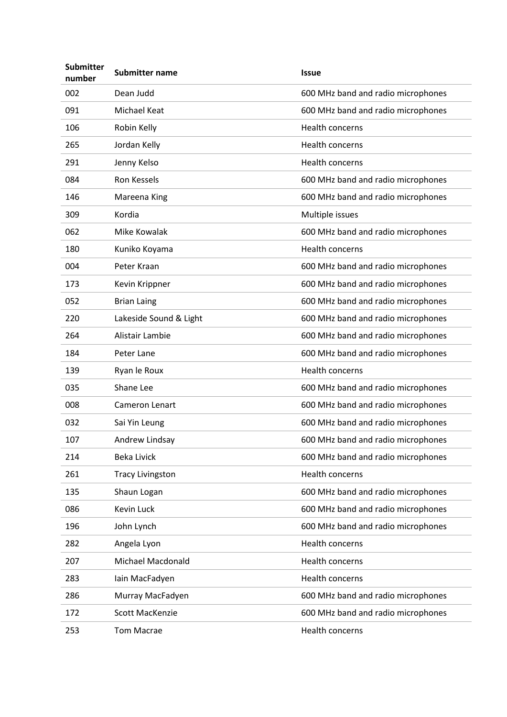| <b>Submitter</b><br>number | <b>Submitter name</b>   | <b>Issue</b>                       |
|----------------------------|-------------------------|------------------------------------|
| 002                        | Dean Judd               | 600 MHz band and radio microphones |
| 091                        | <b>Michael Keat</b>     | 600 MHz band and radio microphones |
| 106                        | Robin Kelly             | <b>Health concerns</b>             |
| 265                        | Jordan Kelly            | Health concerns                    |
| 291                        | Jenny Kelso             | Health concerns                    |
| 084                        | <b>Ron Kessels</b>      | 600 MHz band and radio microphones |
| 146                        | Mareena King            | 600 MHz band and radio microphones |
| 309                        | Kordia                  | Multiple issues                    |
| 062                        | Mike Kowalak            | 600 MHz band and radio microphones |
| 180                        | Kuniko Koyama           | Health concerns                    |
| 004                        | Peter Kraan             | 600 MHz band and radio microphones |
| 173                        | Kevin Krippner          | 600 MHz band and radio microphones |
| 052                        | <b>Brian Laing</b>      | 600 MHz band and radio microphones |
| 220                        | Lakeside Sound & Light  | 600 MHz band and radio microphones |
| 264                        | Alistair Lambie         | 600 MHz band and radio microphones |
| 184                        | Peter Lane              | 600 MHz band and radio microphones |
| 139                        | Ryan le Roux            | Health concerns                    |
| 035                        | Shane Lee               | 600 MHz band and radio microphones |
| 008                        | <b>Cameron Lenart</b>   | 600 MHz band and radio microphones |
| 032                        | Sai Yin Leung           | 600 MHz band and radio microphones |
| 107                        | Andrew Lindsay          | 600 MHz band and radio microphones |
| 214                        | <b>Beka Livick</b>      | 600 MHz band and radio microphones |
| 261                        | <b>Tracy Livingston</b> | Health concerns                    |
| 135                        | Shaun Logan             | 600 MHz band and radio microphones |
| 086                        | <b>Kevin Luck</b>       | 600 MHz band and radio microphones |
| 196                        | John Lynch              | 600 MHz band and radio microphones |
| 282                        | Angela Lyon             | Health concerns                    |
| 207                        | Michael Macdonald       | Health concerns                    |
| 283                        | Iain MacFadyen          | Health concerns                    |
| 286                        | Murray MacFadyen        | 600 MHz band and radio microphones |
| 172                        | Scott MacKenzie         | 600 MHz band and radio microphones |
| 253                        | <b>Tom Macrae</b>       | Health concerns                    |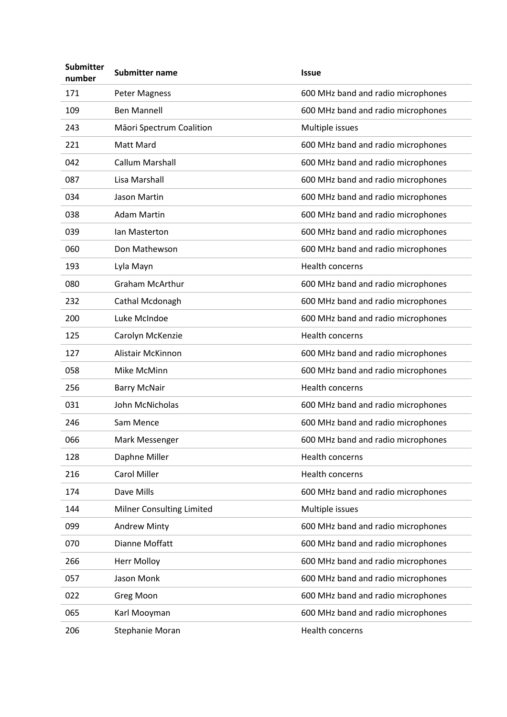| <b>Submitter</b><br>number | <b>Submitter name</b>     | <b>Issue</b>                       |
|----------------------------|---------------------------|------------------------------------|
| 171                        | <b>Peter Magness</b>      | 600 MHz band and radio microphones |
| 109                        | <b>Ben Mannell</b>        | 600 MHz band and radio microphones |
| 243                        | Māori Spectrum Coalition  | Multiple issues                    |
| 221                        | Matt Mard                 | 600 MHz band and radio microphones |
| 042                        | <b>Callum Marshall</b>    | 600 MHz band and radio microphones |
| 087                        | Lisa Marshall             | 600 MHz band and radio microphones |
| 034                        | Jason Martin              | 600 MHz band and radio microphones |
| 038                        | <b>Adam Martin</b>        | 600 MHz band and radio microphones |
| 039                        | Ian Masterton             | 600 MHz band and radio microphones |
| 060                        | Don Mathewson             | 600 MHz band and radio microphones |
| 193                        | Lyla Mayn                 | Health concerns                    |
| 080                        | <b>Graham McArthur</b>    | 600 MHz band and radio microphones |
| 232                        | Cathal Mcdonagh           | 600 MHz band and radio microphones |
| 200                        | Luke McIndoe              | 600 MHz band and radio microphones |
| 125                        | Carolyn McKenzie          | Health concerns                    |
| 127                        | Alistair McKinnon         | 600 MHz band and radio microphones |
| 058                        | Mike McMinn               | 600 MHz band and radio microphones |
| 256                        | <b>Barry McNair</b>       | Health concerns                    |
| 031                        | John McNicholas           | 600 MHz band and radio microphones |
| 246                        | Sam Mence                 | 600 MHz band and radio microphones |
| 066                        | Mark Messenger            | 600 MHz band and radio microphones |
| 128                        | Daphne Miller             | Health concerns                    |
| 216                        | <b>Carol Miller</b>       | Health concerns                    |
| 174                        | Dave Mills                | 600 MHz band and radio microphones |
| 144                        | Milner Consulting Limited | Multiple issues                    |
| 099                        | <b>Andrew Minty</b>       | 600 MHz band and radio microphones |
| 070                        | Dianne Moffatt            | 600 MHz band and radio microphones |
| 266                        | <b>Herr Molloy</b>        | 600 MHz band and radio microphones |
| 057                        | Jason Monk                | 600 MHz band and radio microphones |
| 022                        | <b>Greg Moon</b>          | 600 MHz band and radio microphones |
| 065                        | Karl Mooyman              | 600 MHz band and radio microphones |
| 206                        | Stephanie Moran           | Health concerns                    |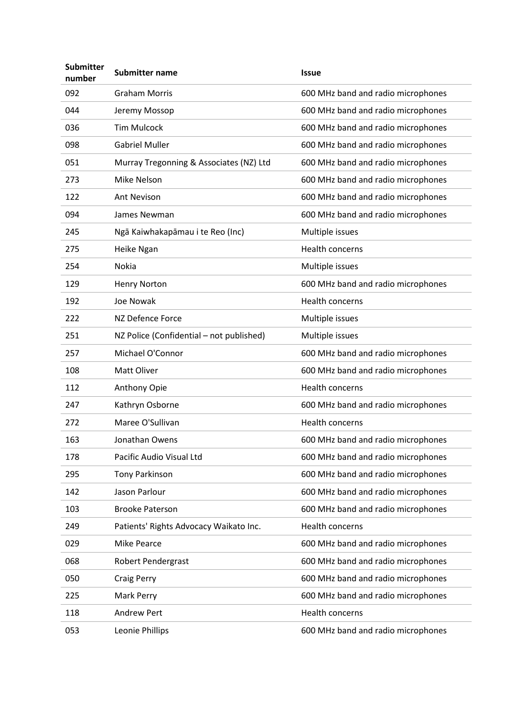| <b>Submitter</b><br>number | Submitter name                           | <b>Issue</b>                       |
|----------------------------|------------------------------------------|------------------------------------|
| 092                        | <b>Graham Morris</b>                     | 600 MHz band and radio microphones |
| 044                        | Jeremy Mossop                            | 600 MHz band and radio microphones |
| 036                        | <b>Tim Mulcock</b>                       | 600 MHz band and radio microphones |
| 098                        | <b>Gabriel Muller</b>                    | 600 MHz band and radio microphones |
| 051                        | Murray Tregonning & Associates (NZ) Ltd  | 600 MHz band and radio microphones |
| 273                        | Mike Nelson                              | 600 MHz band and radio microphones |
| 122                        | <b>Ant Nevison</b>                       | 600 MHz band and radio microphones |
| 094                        | James Newman                             | 600 MHz band and radio microphones |
| 245                        | Ngā Kaiwhakapāmau i te Reo (Inc)         | Multiple issues                    |
| 275                        | Heike Ngan                               | <b>Health concerns</b>             |
| 254                        | Nokia                                    | Multiple issues                    |
| 129                        | <b>Henry Norton</b>                      | 600 MHz band and radio microphones |
| 192                        | Joe Nowak                                | Health concerns                    |
| 222                        | NZ Defence Force                         | Multiple issues                    |
| 251                        | NZ Police (Confidential - not published) | Multiple issues                    |
| 257                        | Michael O'Connor                         | 600 MHz band and radio microphones |
| 108                        | Matt Oliver                              | 600 MHz band and radio microphones |
| 112                        | Anthony Opie                             | Health concerns                    |
| 247                        | Kathryn Osborne                          | 600 MHz band and radio microphones |
| 272                        | Maree O'Sullivan                         | Health concerns                    |
| 163                        | Jonathan Owens                           | 600 MHz band and radio microphones |
| 178                        | Pacific Audio Visual Ltd                 | 600 MHz band and radio microphones |
| 295                        | <b>Tony Parkinson</b>                    | 600 MHz band and radio microphones |
| 142                        | Jason Parlour                            | 600 MHz band and radio microphones |
| 103                        | <b>Brooke Paterson</b>                   | 600 MHz band and radio microphones |
| 249                        | Patients' Rights Advocacy Waikato Inc.   | Health concerns                    |
| 029                        | Mike Pearce                              | 600 MHz band and radio microphones |
| 068                        | <b>Robert Pendergrast</b>                | 600 MHz band and radio microphones |
| 050                        | <b>Craig Perry</b>                       | 600 MHz band and radio microphones |
| 225                        | Mark Perry                               | 600 MHz band and radio microphones |
| 118                        | <b>Andrew Pert</b>                       | Health concerns                    |
| 053                        | Leonie Phillips                          | 600 MHz band and radio microphones |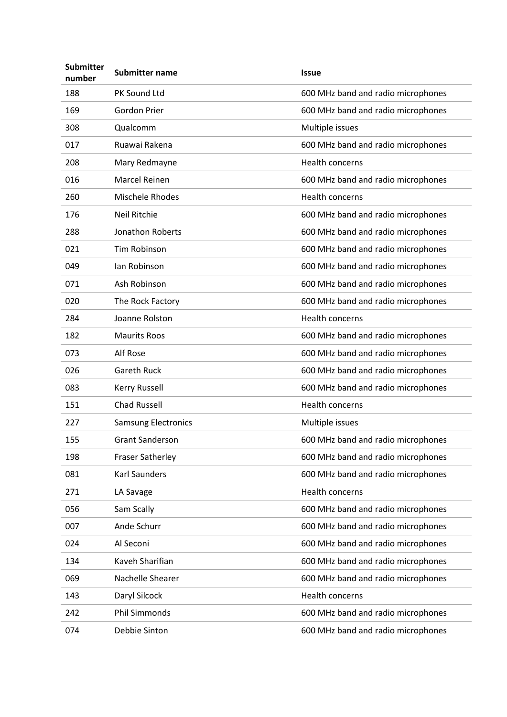| <b>Submitter</b><br>number | <b>Submitter name</b>      | <b>Issue</b>                       |
|----------------------------|----------------------------|------------------------------------|
| 188                        | PK Sound Ltd               | 600 MHz band and radio microphones |
| 169                        | <b>Gordon Prier</b>        | 600 MHz band and radio microphones |
| 308                        | Qualcomm                   | Multiple issues                    |
| 017                        | Ruawai Rakena              | 600 MHz band and radio microphones |
| 208                        | Mary Redmayne              | Health concerns                    |
| 016                        | <b>Marcel Reinen</b>       | 600 MHz band and radio microphones |
| 260                        | Mischele Rhodes            | Health concerns                    |
| 176                        | Neil Ritchie               | 600 MHz band and radio microphones |
| 288                        | Jonathon Roberts           | 600 MHz band and radio microphones |
| 021                        | Tim Robinson               | 600 MHz band and radio microphones |
| 049                        | lan Robinson               | 600 MHz band and radio microphones |
| 071                        | Ash Robinson               | 600 MHz band and radio microphones |
| 020                        | The Rock Factory           | 600 MHz band and radio microphones |
| 284                        | Joanne Rolston             | Health concerns                    |
| 182                        | <b>Maurits Roos</b>        | 600 MHz band and radio microphones |
| 073                        | Alf Rose                   | 600 MHz band and radio microphones |
| 026                        | <b>Gareth Ruck</b>         | 600 MHz band and radio microphones |
| 083                        | <b>Kerry Russell</b>       | 600 MHz band and radio microphones |
| 151                        | <b>Chad Russell</b>        | Health concerns                    |
| 227                        | <b>Samsung Electronics</b> | Multiple issues                    |
| 155                        | <b>Grant Sanderson</b>     | 600 MHz band and radio microphones |
| 198                        | Fraser Satherley           | 600 MHz band and radio microphones |
| 081                        | Karl Saunders              | 600 MHz band and radio microphones |
| 271                        | LA Savage                  | Health concerns                    |
| 056                        | Sam Scally                 | 600 MHz band and radio microphones |
| 007                        | Ande Schurr                | 600 MHz band and radio microphones |
| 024                        | Al Seconi                  | 600 MHz band and radio microphones |
| 134                        | Kaveh Sharifian            | 600 MHz band and radio microphones |
| 069                        | Nachelle Shearer           | 600 MHz band and radio microphones |
| 143                        | Daryl Silcock              | Health concerns                    |
| 242                        | <b>Phil Simmonds</b>       | 600 MHz band and radio microphones |
| 074                        | Debbie Sinton              | 600 MHz band and radio microphones |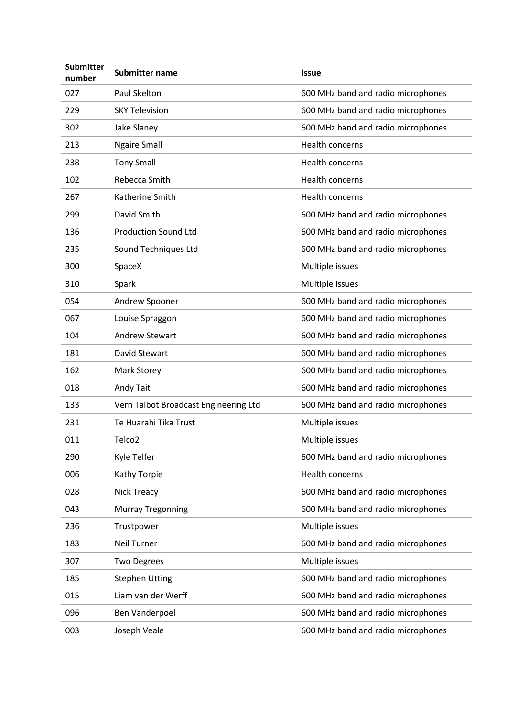| <b>Submitter</b><br>number | Submitter name                        | <b>Issue</b>                       |
|----------------------------|---------------------------------------|------------------------------------|
| 027                        | Paul Skelton                          | 600 MHz band and radio microphones |
| 229                        | <b>SKY Television</b>                 | 600 MHz band and radio microphones |
| 302                        | Jake Slaney                           | 600 MHz band and radio microphones |
| 213                        | <b>Ngaire Small</b>                   | <b>Health concerns</b>             |
| 238                        | <b>Tony Small</b>                     | <b>Health concerns</b>             |
| 102                        | Rebecca Smith                         | <b>Health concerns</b>             |
| 267                        | Katherine Smith                       | <b>Health concerns</b>             |
| 299                        | David Smith                           | 600 MHz band and radio microphones |
| 136                        | <b>Production Sound Ltd</b>           | 600 MHz band and radio microphones |
| 235                        | Sound Techniques Ltd                  | 600 MHz band and radio microphones |
| 300                        | SpaceX                                | Multiple issues                    |
| 310                        | Spark                                 | Multiple issues                    |
| 054                        | Andrew Spooner                        | 600 MHz band and radio microphones |
| 067                        | Louise Spraggon                       | 600 MHz band and radio microphones |
| 104                        | <b>Andrew Stewart</b>                 | 600 MHz band and radio microphones |
| 181                        | David Stewart                         | 600 MHz band and radio microphones |
| 162                        | Mark Storey                           | 600 MHz band and radio microphones |
| 018                        | Andy Tait                             | 600 MHz band and radio microphones |
| 133                        | Vern Talbot Broadcast Engineering Ltd | 600 MHz band and radio microphones |
| 231                        | Te Huarahi Tika Trust                 | Multiple issues                    |
| 011                        | Telco <sub>2</sub>                    | Multiple issues                    |
| 290                        | Kyle Telfer                           | 600 MHz band and radio microphones |
| 006                        | Kathy Torpie                          | Health concerns                    |
| 028                        | Nick Treacy                           | 600 MHz band and radio microphones |
| 043                        | <b>Murray Tregonning</b>              | 600 MHz band and radio microphones |
| 236                        | Trustpower                            | Multiple issues                    |
| 183                        | <b>Neil Turner</b>                    | 600 MHz band and radio microphones |
| 307                        | <b>Two Degrees</b>                    | Multiple issues                    |
| 185                        | <b>Stephen Utting</b>                 | 600 MHz band and radio microphones |
| 015                        | Liam van der Werff                    | 600 MHz band and radio microphones |
| 096                        | Ben Vanderpoel                        | 600 MHz band and radio microphones |
| 003                        | Joseph Veale                          | 600 MHz band and radio microphones |